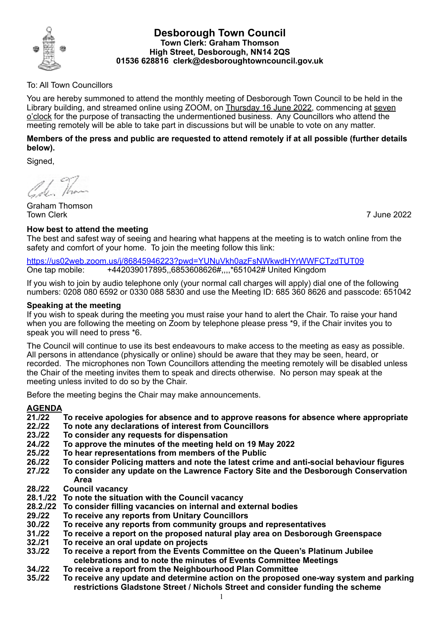

#### **Desborough Town Council Town Clerk: Graham Thomson High Street, Desborough, NN14 2QS 01536 628816 clerk@desboroughtowncouncil.gov.uk**

### To: All Town Councillors

You are hereby summoned to attend the monthly meeting of Desborough Town Council to be held in the Library building, and streamed online using ZOOM, on Thursday 16 June 2022, commencing at seven o'clock for the purpose of transacting the undermentioned business. Any Councillors who attend the meeting remotely will be able to take part in discussions but will be unable to vote on any matter.

### **Members of the press and public are requested to attend remotely if at all possible (further details below).**

Signed,

16 Than

Graham Thomson Town Clerk 7 June 2022

## **How best to attend the meeting**

The best and safest way of seeing and hearing what happens at the meeting is to watch online from the safety and comfort of your home. To join the meeting follow this link:

<https://us02web.zoom.us/j/86845946223?pwd=YUNuVkh0azFsNWkwdHYrWWFCTzdTUT09> One tap mobile: +442039017895,,6853608626#,,,,\*651042# United Kingdom

If you wish to join by audio telephone only (your normal call charges will apply) dial one of the following numbers: 0208 080 6592 or 0330 088 5830 and use the Meeting ID: 685 360 8626 and passcode: 651042

### **Speaking at the meeting**

If you wish to speak during the meeting you must raise your hand to alert the Chair. To raise your hand when you are following the meeting on Zoom by telephone please press \*9, if the Chair invites you to speak you will need to press \*6.

The Council will continue to use its best endeavours to make access to the meeting as easy as possible. All persons in attendance (physically or online) should be aware that they may be seen, heard, or recorded. The microphones non Town Councillors attending the meeting remotely will be disabled unless the Chair of the meeting invites them to speak and directs otherwise. No person may speak at the meeting unless invited to do so by the Chair.

Before the meeting begins the Chair may make announcements.

# **AGENDA**

- **21./22 To receive apologies for absence and to approve reasons for absence where appropriate**
- **22./22 To note any declarations of interest from Councillors**
- **23./22 To consider any requests for dispensation**
- **24./22 To approve the minutes of the meeting held on 19 May 2022**
- **25./22 To hear representations from members of the Public**
- **26./22 To consider Policing matters and note the latest crime and anti-social behaviour figures**
- **27./22 To consider any update on the Lawrence Factory Site and the Desborough Conservation Area**
- **28./22 Council vacancy**
- **28.1./22 To note the situation with the Council vacancy**
- **28.2./22 To consider filling vacancies on internal and external bodies**
- **29./22 To receive any reports from Unitary Councillors**
- **30./22 To receive any reports from community groups and representatives**
- **31./22 To receive a report on the proposed natural play area on Desborough Greenspace**
- **32./21 To receive an oral update on projects**
- **33./22 To receive a report from the Events Committee on the Queen's Platinum Jubilee celebrations and to note the minutes of Events Committee Meetings**
- **34./22 To receive a report from the Neighbourhood Plan Committee**
- **35./22 To receive any update and determine action on the proposed one-way system and parking restrictions Gladstone Street / Nichols Street and consider funding the scheme**